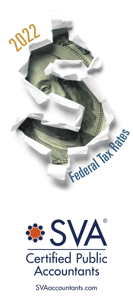



**SVAaccountants.com**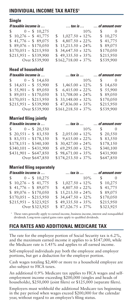# **INDIVIDUAL INCOME TAX RATES<sup>1</sup>**

#### **Single**

| If taxable income is |                             | $$ tax is $$ $$ of amount over |                         |
|----------------------|-----------------------------|--------------------------------|-------------------------|
|                      | $\frac{1}{2}$ 0 - \$ 10,275 | $10\%$                         | S –<br>$\left( \right)$ |
|                      | $$10,276 - $41,775$         | $\frac{1,027.50 + 12\%}{ }$    | \$10,275                |
|                      | $$41,776 - $89,075$         | $$4,807.50 + 22\%$             | \$41,775                |
|                      | $$89,076 - $170,050$        | $$15,213.50 + 24\%$            | \$89,075                |
|                      | $$170,051 - $215,950$       | $$34,647.50 + 32\%$            | \$170,050               |
|                      | $$215,951 - $539,900$       | $$49,335.50 + 35\%$            | \$215,950               |
|                      | Over \$539,900              | $$162,718.00 + 37\%$           | \$539,900               |

#### **Head of household**

| If taxable income is       |                      | $\dots$ tax is $\dots$ $\dots$ of amount over |
|----------------------------|----------------------|-----------------------------------------------|
| $\frac{1}{2}$ 0 - \$14,650 | 10%                  | $\sim 0$                                      |
| $$14,651 - $55,900$        | $$1,465.00 + 12\%$   | \$14,650                                      |
| $$55,901 - $89,050$        | $$6,415.00 + 22\%$   | \$55,900                                      |
| $$89,051 - $170,050$       | $$13,708.00 + 24\%$  | \$89,050                                      |
| $$170,051 - $215,950$      | $$33,148.00 + 32\%$  | \$170,050                                     |
| $$215,951 - $539,900$      | $$47,836.00 + 35\%$  | \$215,950                                     |
| Over \$539,900             | $$161,218.50 + 37\%$ | \$539,900                                     |

### **Married filing jointly**

| If taxable income is        |                      | $\dots$ tax is $\dots$ $\dots$ of amount over |
|-----------------------------|----------------------|-----------------------------------------------|
| $\frac{1}{2}$ 0 - \$ 20,550 | 10%                  | $\sim 0$                                      |
| $$20,551 - $83,550$         | $$2,055.00 + 12\%$   | \$20,550                                      |
| $$83,551 - $178,150$        | $$9,615.00 + 22\%$   | \$83,550                                      |
| $$178,151 - $340,100$       | $$30,427.00 + 24\%$  | \$178,150                                     |
| $$340,101 - $431,900$       | $$69,295.00 + 32\%$  | \$340,100                                     |
| $$431,901 - $647,850$       | $$98,671.00 + 35\%$  | \$431,900                                     |
| Over \$647,850              | $$174,253.50 + 37\%$ | \$647,850                                     |

## **Married filing separately**

| If taxable income is        |  |                     | tax is   of amount over                                    |
|-----------------------------|--|---------------------|------------------------------------------------------------|
| $\frac{1}{2}$ 0 - \$ 10,275 |  | 10%                 | S.<br>$\left( \begin{array}{c} 0 \\ 0 \end{array} \right)$ |
| $$10,276 - $41,775$         |  | $$1,027.50 + 12\%$  | \$10,275                                                   |
| $$41,776 - $89,075$         |  | $$4,807.50 + 22\%$  | \$41,775                                                   |
| $$89,076 - $170,050$        |  | $$15,213.50 + 24\%$ | \$89,075                                                   |
| $$170,051 - $215,950$       |  | $$34,647.50 + 32\%$ | \$170,050                                                  |
| $$215,951 - $323,925$       |  | $$49,335.50 + 35\%$ | \$215,950                                                  |
| Over \$323,925              |  | $$87,126.75+37\%$   | \$323,925                                                  |

<sup>1</sup> These rates generally apply to earned income, business income, interest and nonqualified dividends. Long-term capital gains rates apply to qualified dividends.

## **FICA RATES AND ADDITIONAL MEDICARE TAX**

The rate for the employee portion of Social Security tax is 6.2%, and the maximum earned income it applies to is \$147,000, while the Medicare rate is 1.45% and applies to all earned income.

Self-employed individuals pay both the employee and employer portions, but get a deduction for the employer portion.

Cash wages totaling \$2,400 or more to a household employee are also subject to FICA taxes.

An additional 0.9% Medicare tax applies to FICA wages and selfemployment income exceeding \$200,000 (singles and heads of households), \$250,000 (joint filers) or \$125,000 (separate filers).

Employers must withhold the additional Medicare tax beginning in the pay period when wages exceed \$200,000 for the calendar year, without regard to an employee's filing status.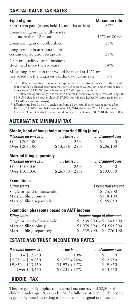# **CAPITAL GAINS TAX RATES**

| <b>Type of gain</b><br>Short-term gain (assets held 12 months or less)                                 | Maximum rate <sup>1</sup><br>37% |
|--------------------------------------------------------------------------------------------------------|----------------------------------|
| Long-term gain (generally assets<br>held more than 12 months)                                          | $15\%$ or $20\%$ <sup>2</sup>    |
| Long-term gain on collectibles                                                                         | 28%                              |
| Long-term gain attributable to<br>certain depreciation recapture                                       | $2.5\%$                          |
| Gain on qualified small business<br>stock held more than 5 years                                       | $14\%$ <sup>3</sup>              |
| Most long-term gain that would be taxed at 12% or<br>less based on the taxpayer's ordinary-income rate | $0\%$                            |

1 The 3.8% net investment income tax applies to net investment income to the extent that modified adjusted gross income (MAGI) exceeds \$200,000 (singles and heads of households), \$250,000 (joint filers) or \$125,000 (separate filers).

<sup>2</sup> The 20% rate applies only to those with taxable income exceeding \$459,750 (singles), \$488,500 (heads of households), \$517,200 (joint filers), \$258,600 (separate filers) or \$13,700 (estates and trusts).

<sup>3</sup> Effective rate based on 50% exclusion from a 28% rate. If stock was acquired after February 17, 2009, and before September 28, 2010, the rate is 7% (75% exclusion from a 28% rate). If stock was acquired on or after September 28, 2010, the rate is 0%.

# **ALTERNATIVE MINIMUM TAX**

#### **Single, head of household or married filing jointly**

| If taxable income is | $\ldots$ tax is $\ldots$ | $\ldots$ of amount over |
|----------------------|--------------------------|-------------------------|
| $$0 - $206,100$      | 26%                      |                         |
| Over \$206,100       | $$53,586 + 28\%$         | \$206,100               |

#### **Married filing separately**

| If taxable income is              | $\ldots$ tax is $\ldots$ | of amount over |  |
|-----------------------------------|--------------------------|----------------|--|
| $$0 - $103,050$<br>Over \$103,050 | 26%<br>$$26,793 + 28\%$  | \$103,050      |  |
|                                   |                          |                |  |

### **Exemptions**

| <b>Exemption amount</b> |
|-------------------------|
| \$75,900                |
| \$118,100               |
| \$59,050                |
|                         |

#### **Exemption phaseouts based on AMT income**

| <b>Filing status</b>        | Income range of phaseout  |
|-----------------------------|---------------------------|
| Single or head of household | $$539,900 - $843,500$     |
| Married filing jointly      | $$1,079,800 - $1,552,200$ |
| Married filing separately   | $$539,900 - $776,100$     |

# **ESTATE AND TRUST INCOME TAX RATES**

| If taxable income is       | $\ldots$ tax is $\ldots$ | of amount over |
|----------------------------|--------------------------|----------------|
| $\frac{1}{2}$ 0 - \$ 2,750 | 10%                      | SS.            |
| $$2,751 - $9,850$          | $\frac{1}{2}$ 275 + 24%  | \$2,750        |
| $$9,851 - $13,450$         | $$1,979 + 35\%$          | \$9,850        |
| Over \$13,450              | $$3,239 + 37\%$          | \$13,450       |
|                            |                          |                |

## **"KIDDIE" TAX**

This tax generally applies to unearned income beyond \$2,300 of children under age 19, or under 24 if a full-time student. Such income is generally taxed according to the parents' marginal tax bracket.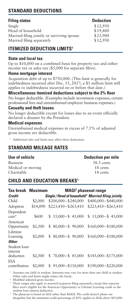# **STANDARD DEDUCTIONS**

## **Filing status Deduction**

 $\text{Single}$  \$12,950 Head of household \$19,400 Married filing jointly or surviving spouse \$25,900 Married filing separately \$12,950

# **ITEMIZED DEDUCTION LIMITS<sup>1</sup>**

### **State and local tax**

Up to \$10,000 on a combined basis for property tax and either income tax or sales tax (\$5,000 for separate filers).

#### **Home mortgage interest**

Acquisition debt of up to \$750,000. (This limit is generally for indebtedness incurred after Dec. 15, 2017; a \$1 million limit still applies to indebtedness incurred on or before that date.)

**Miscellaneous itemized deductions subject to the 2% floor** No longer deductible. (Examples include investment expenses, certain professional fees and unreimbursed employee business expenses.)

#### **Casualty and theft losses**

No longer deductible except for losses due to an event officially declared a disaster by the President.

#### **Medical expenses**

Unreimbursed medical expenses in excess of 7.5% of adjusted gross income are deductible.

<sup>1</sup> Additional rules and limits may affect these deductions.

# **STANDARD MILEAGE RATES**

#### **Use of vehicle Deduction per mile**

Business 58.5 cents Medical or moving 18 cents Charitable 14 cents

# **CHILD AND EDUCATION BREAKS1**

| Tax break                      | <b>Maximum</b> |                       | <b>MAGI<sup>2</sup></b> phaseout range                       |
|--------------------------------|----------------|-----------------------|--------------------------------------------------------------|
| Credit                         |                |                       | Single/Head of household <sup>3</sup> Married filing jointly |
| Child                          | \$2,000        | $$200,000 - $240,000$ | $$400,000 - $440,000$                                        |
| Adoption                       | \$14,890       | $$223,410 - $263,410$ | $$223.410 - $263.410$                                        |
| Dependent<br>care <sup>4</sup> | \$600          | $$15,000 - $43,000$   | $$15,000 - $43,000$                                          |
| American<br>Opportunity        | \$2,500        | $$80,000 - $90,000$   | $$160,000 - $180,000$                                        |
| Lifetime<br>Learning           | \$2,000        | $$80,000 - $90,000$   | $$160,000 - $180,000$                                        |
| <b>Other</b>                   |                |                       |                                                              |
| Student loan<br>interest       |                |                       |                                                              |
| deduction                      | \$2,500        | $$70,000 - $85,000$   | $$145,000 - $175,000$                                        |
| <b>FSA</b><br>contribution     | \$2,000        | $$95,000 - $110,000$  | $$190,000 - $220,000$                                        |

<sup>1</sup> Assumes one child or student. Amounts may vary for more than one child or student. Other rules and limits might reduce the break.

2 Modified adjusted gross income.

<sup>3</sup> These ranges also apply to married taxpayers filing separately, except that separate filers aren't eligible for the American Opportunity or Lifetime Learning credit or the student loan interest deduction.

4 The phaseout is based on AGI rather than MAGI. The credit doesn't phase out altogether, but the minimum credit percentage of 20% applies to AGIs above \$43,000.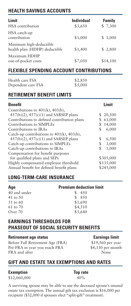# **HEALTH SAVINGS ACCOUNTS**

| Limit                                                    | <b>Individual</b> | Family   |
|----------------------------------------------------------|-------------------|----------|
| <b>HSA</b> contribution                                  | \$3,650           | \$7,300  |
| HSA catch-up<br>contribution                             | \$1,000           | \$1,000  |
| Minimum high-deductible<br>health plan (HDHP) deductible | \$1,400           | \$2,800  |
| Maximum HDHP<br>out-of-pocket costs                      | \$7,050           | \$14,100 |

# **FLEXIBLE SPENDING ACCOUNT CONTRIBUTIONS**

| Health care FSA    | \$2,850 |
|--------------------|---------|
| Dependent care FSA | \$5,000 |

## **RETIREMENT BENEFIT LIMITS**

| <b>Benefit</b>                                  | I imit      |
|-------------------------------------------------|-------------|
| Contributions to $401(k)$ , $403(b)$ ,          |             |
| $457(b)(2)$ , $457(c)(1)$ and SARSEP plans      | 20,500      |
| Contributions to defined contribution plans     | 61,000      |
| Contributions to SIMPLEs                        | 14,000      |
| Contributions to IRAs                           | \$<br>6,000 |
| Catch-up contributions to $401(k)$ , $403(b)$ , |             |
| $457(b)(2)$ , $457(c)(1)$ and SARSEP plans      | 6,500<br>\$ |
| Catch-up contributions to SIMPLEs               | 3,000<br>\$ |
| Catch-up contributions to IRAs                  | \$<br>1,000 |
| Compensation for benefit purposes               |             |
| for qualified plans and SEPs                    | \$305,000   |
| Highly compensated employee threshold           | \$135,000   |
| Annual benefit for defined benefit plans        | \$245,000   |

# **LONG-TERM-CARE INSURANCE**

| Age          | <b>Premium deduction limit</b> |
|--------------|--------------------------------|
| 40 and under | 4.50                           |
| 41 to 50     | \$850                          |
| 51 to 60     | \$1,690                        |
| 61 to 70     | \$4,510                        |
| Over 70      | \$5,640                        |

## **EARNINGS THRESHOLDS FOR PHASEOUT OF SOCIAL SECURITY BENEFITS**

#### **Retirement age status Earnings limit**

Before Full Retirement Age (FRA) \$19,560 per year Pre-FRA in year you reach FRA \$4,330 per month FRA and after None

# **GIFT AND ESTATE TAX EXEMPTIONS AND RATES**

#### **Exemption Top rate**

\$12,060,000 40%

A surviving spouse may be able to use the deceased spouse's unused estate tax exemption. The annual gift tax exclusion is \$16,000 per recipient (\$32,000 if spouses elect "split-gift" treatment).